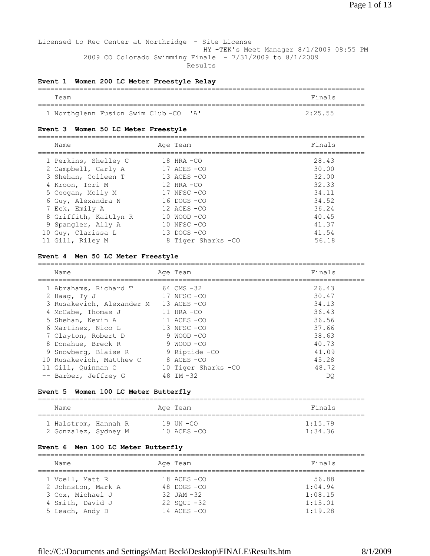Licensed to Rec Center at Northridge - Site License HY -TEK's Meet Manager 8/1/2009 08:55 PM 2009 CO Colorado Swimming Finale - 7/31/2009 to 8/1/2009 Results

#### **Event 1 Women 200 LC Meter Freestyle Relay**

| Team                                 | Finals  |
|--------------------------------------|---------|
|                                      |         |
| 1 Northglenn Fusion Swim Club-CO 'A' | 2:25.55 |

#### **Event 3 Women 50 LC Meter Freestyle**

| Name                  | Age Team            | Finals |
|-----------------------|---------------------|--------|
| 1 Perkins, Shelley C  | $18$ HRA $-CO$      | 28.43  |
| 2 Campbell, Carly A   | 17 ACES -CO         | 30.00  |
| 3 Shehan, Colleen T   | $13$ ACES $-CO$     | 32.00  |
| 4 Kroon, Tori M       | $12$ HRA $-CO$      | 32.33  |
| 5 Coogan, Molly M     | $17$ NFSC $-CO$     | 34.11  |
| 6 Guy, Alexandra N    | $16$ DOGS $-CO$     | 34.52  |
| 7 Eck, Emily A        | $12$ ACES $-CO$     | 36.24  |
| 8 Griffith, Kaitlyn R | $10$ WOOD $-CO$     | 40.45  |
| 9 Spangler, Ally A    | $10$ NFSC $-CO$     | 41.37  |
| 10 Guy, Clarissa L    | $13$ DOGS $-CO$     | 41.54  |
| 11 Gill, Riley M      | 8 Tiger Sharks - CO | 56.18  |

#### **Event 4 Men 50 LC Meter Freestyle**

| Name                      | Age Team             | Finals |
|---------------------------|----------------------|--------|
| 1 Abrahams, Richard T     | 64 CMS -32           | 26.43  |
| 2 Haag, Ty J              | $17$ NFSC $-CO$      | 30.47  |
| 3 Rusakevich, Alexander M | 13 ACES -CO          | 34.13  |
| 4 McCabe, Thomas J        | $11$ HRA $-CO$       | 36.43  |
| 5 Shehan, Kevin A         | 11 ACES -CO          | 36.56  |
| 6 Martinez, Nico L        | 13 NFSC-CO           | 37.66  |
| 7 Clayton, Robert D       | 9 WOOD -CO           | 38.63  |
| 8 Donahue, Breck R        | 9 WOOD -CO           | 40.73  |
| 9 Snowberg, Blaise R      | 9 Riptide - CO       | 41.09  |
| 10 Rusakevich, Matthew C  | 8 ACES -CO           | 45.28  |
| 11 Gill, Ouinnan C        | 10 Tiger Sharks - CO | 48.72  |
| -- Barber, Jeffrey G      | 48 IM $-32$          | DO     |

## **Event 5 Women 100 LC Meter Butterfly**

| Name                 | Age Team      | Finals  |
|----------------------|---------------|---------|
| 1 Halstrom, Hannah R | 19 UN -CO     | 1:15.79 |
| 2 Gonzalez, Sydney M | 10 ACES $-CO$ | 1:34.36 |

#### **Event 6 Men 100 LC Meter Butterfly**

| Name               | Age Team        | Finals  |
|--------------------|-----------------|---------|
| 1 Voell, Matt R    | $18$ ACES $-CO$ | 56.88   |
| 2 Johnston, Mark A | $48$ DOGS $-CO$ | 1:04.94 |
| 3 Cox, Michael J   | $32$ JAM $-32$  | 1:08.15 |
| 4 Smith, David J   | $22$ SOUI $-32$ | 1:15.01 |
| 5 Leach, Andy D    | $14$ ACES $-CO$ | 1:19.28 |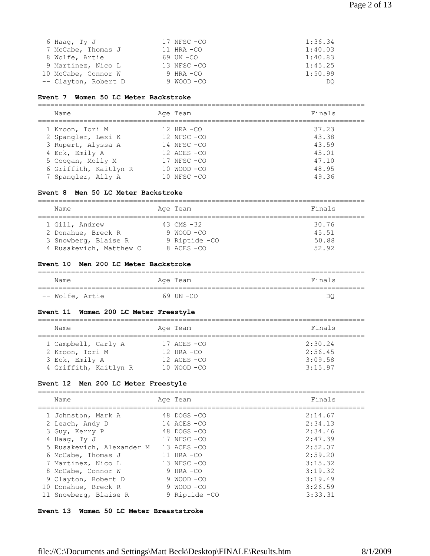#### **Event 7 Women 50 LC Meter Backstroke**

=============================================================================== Name **Age Team** Age Team Finals =============================================================================== 1 Kroon, Tori M 12 HRA -CO 37.23 2 Spangler, Lexi K 12 NFSC -CO 43.38 3 Rupert, Alyssa A 14 NFSC -CO 43.59 4 Eck, Emily A 12 ACES -CO 45.01 5 Coogan, Molly M 17 NFSC -CO 47.10 6 Griffith, Kaitlyn R 10 WOOD -CO 48.95 7 Spangler, Ally A 10 NFSC -CO 49.36

#### **Event 8 Men 50 LC Meter Backstroke**

| Name                    | Age Team        | Finals |
|-------------------------|-----------------|--------|
| 1 Gill, Andrew          | 43 CMS $-32$    | 30.76  |
| 2 Donahue, Breck R      | $9$ WOOD $-C$ O | 45.51  |
| 3 Snowberg, Blaise R    | 9 Riptide - CO  | 50.88  |
| 4 Rusakevich, Matthew C | $8$ ACES $-CO$  | 52.92  |

#### **Event 10 Men 200 LC Meter Backstroke**

| Name            | Age Team | Finals |
|-----------------|----------|--------|
| -- Wolfe, Artie | 69 UN-CO | DC     |

#### **Event 11 Women 200 LC Meter Freestyle**

| Name                  | Age Team        | Finals  |
|-----------------------|-----------------|---------|
| 1 Campbell, Carly A   | $17$ ACES $-CO$ | 2:30.24 |
| 2 Kroon, Tori M       | $12$ HRA $-CO$  | 2:56.45 |
| 3 Eck, Emily A        | $12$ ACES $-CO$ | 3:09.58 |
| 4 Griffith, Kaitlyn R | $10$ WOOD $-CO$ | 3:15.97 |

#### **Event 12 Men 200 LC Meter Freestyle**

| Name                      | Age Team        | Finals  |
|---------------------------|-----------------|---------|
|                           |                 |         |
| 1 Johnston, Mark A        | $48$ DOGS $-CO$ | 2:14.67 |
| 2 Leach, Andy D           | $14$ ACES $-CO$ | 2:34.13 |
| 3 Guy, Kerry P            | $48$ DOGS $-CO$ | 2:34.46 |
| 4 Haaq, Ty J              | $17$ NFSC $-CO$ | 2:47.39 |
| 5 Rusakevich, Alexander M | $13$ ACES $-CO$ | 2:52.07 |
| 6 McCabe, Thomas J        | $11$ HRA $-CO$  | 2:59.20 |
| 7 Martinez, Nico L        | $13$ NFSC $-CO$ | 3:15.32 |
| 8 McCabe, Connor W        | 9 HRA $-CO$     | 3:19.32 |
| 9 Clayton, Robert D       | 9 WOOD -CO      | 3:19.49 |
| 10 Donahue, Breck R       | 9 WOOD -CO      | 3:26.59 |
| 11 Snowberg, Blaise R     | 9 Riptide - CO  | 3:33.31 |
|                           |                 |         |

#### **Event 13 Women 50 LC Meter Breaststroke**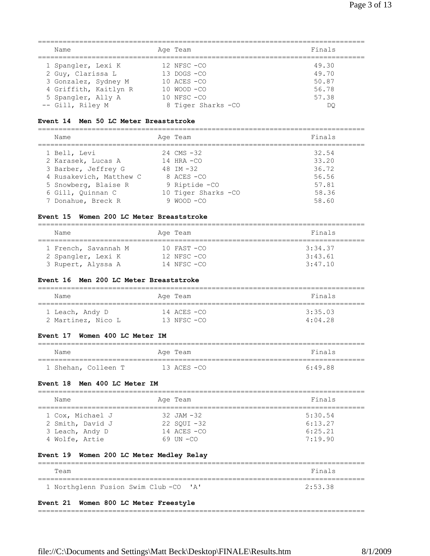| Name                  | Age Team            | Finals |
|-----------------------|---------------------|--------|
| 1 Spangler, Lexi K    | $12$ NFSC $-CO$     | 49.30  |
| 2 Guy, Clarissa L     | $13$ DOGS $-CO$     | 49.70  |
| 3 Gonzalez, Sydney M  | $10$ ACES $-CO$     | 50.87  |
| 4 Griffith, Kaitlyn R | $10$ WOOD $-CO$     | 56.78  |
| 5 Spangler, Ally A    | $10$ NFSC $-CO$     | 57.38  |
| -- Gill, Riley M      | 8 Tiger Sharks - CO | DO     |

## **Event 14 Men 50 LC Meter Breaststroke**

| Name                    | Age Team             | Finals |
|-------------------------|----------------------|--------|
| 1 Bell, Levi            | $24$ CMS $-32$       | 32.54  |
| 2 Karasek, Lucas A      | $14$ HRA $-CO$       | 33.20  |
| 3 Barber, Jeffrey G     | 48 IM $-32$          | 36.72  |
| 4 Rusakevich, Matthew C | 8 ACES - CO          | 56.56  |
| 5 Snowberg, Blaise R    | 9 Riptide - CO       | 57.81  |
| 6 Gill, Ouinnan C       | 10 Tiger Sharks - CO | 58.36  |
| 7 Donahue, Breck R      | $9$ WOOD $-CO$       | 58.60  |

## **Event 15 Women 200 LC Meter Breaststroke**

| Name                                       | Age Team                           | Finals             |
|--------------------------------------------|------------------------------------|--------------------|
| 1 French, Savannah M<br>2 Spangler, Lexi K | $10$ FAST $-CO$<br>$12$ NFSC $-CO$ | 3:34.37<br>3:43.61 |
| 3 Rupert, Alyssa A                         | 14 NFSC -CO                        | 3:47.10            |

#### **Event 16 Men 200 LC Meter Breaststroke**

| Name               | Age Team        | Finals  |
|--------------------|-----------------|---------|
| 1 Leach, Andy D    | $14$ ACES $-CO$ | 3:35.03 |
| 2 Martinez, Nico L | $13$ NFSC $-CO$ | 4:04.28 |

#### **Event 17 Women 400 LC Meter IM**

| Name |                     | Age Team    | Finals    |
|------|---------------------|-------------|-----------|
|      | 1 Shehan, Colleen T | 13 ACES -CO | $6.49$ 88 |

#### **Event 18 Men 400 LC Meter IM**

| Name                                                                      | Age Team                                                               | Finals                                   |
|---------------------------------------------------------------------------|------------------------------------------------------------------------|------------------------------------------|
| 1 Cox, Michael J<br>2 Smith, David J<br>3 Leach, Andy D<br>4 Wolfe, Artie | $32$ JAM $-32$<br>$22$ SOUI $-32$<br>$14$ ACES $-CO$<br>$69$ IIN $-CO$ | 5:30.54<br>6:13.27<br>6:25.21<br>7:19.90 |

## **Event 19 Women 200 LC Meter Medley Relay**

| Team                                 | Finals  |
|--------------------------------------|---------|
| 1 Northglenn Fusion Swim Club-CO 'A' | 2:53.38 |

## **Event 21 Women 800 LC Meter Freestyle**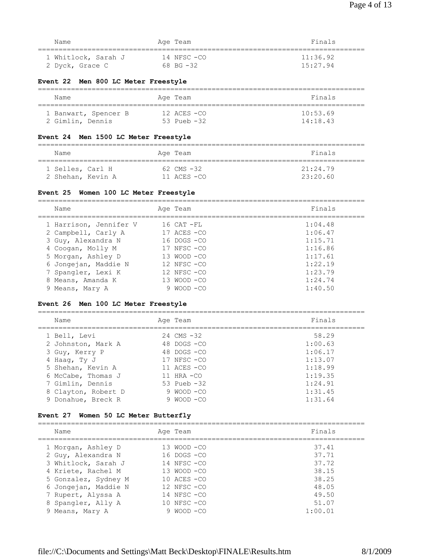| Name                | Age Team      | Finals   |
|---------------------|---------------|----------|
|                     |               |          |
| 1 Whitlock, Sarah J | 14 NFSC -CO   | 11:36.92 |
| 2 Dyck, Grace C     | $68$ BG $-32$ | 15:27.94 |

#### **Event 22 Men 800 LC Meter Freestyle**

| Name                 | Age Team        | Finals   |
|----------------------|-----------------|----------|
| 1 Banwart, Spencer B | $12$ ACES $-CO$ | 10:53.69 |
| 2 Gimlin, Dennis     | $53$ Pueb $-32$ | 14:18.43 |

#### **Event 24 Men 1500 LC Meter Freestyle**

| Name                                  |  | Age Team                          | Finals               |
|---------------------------------------|--|-----------------------------------|----------------------|
| 1 Selles, Carl H<br>2 Shehan, Kevin A |  | $62$ CMS $-32$<br>$11$ ACES $-CO$ | 21:24.79<br>23:20.60 |

#### **Event 25 Women 100 LC Meter Freestyle**

| Name                   | Age Team        | Finals  |
|------------------------|-----------------|---------|
| 1 Harrison, Jennifer V | $16$ CAT $-FL$  | 1:04.48 |
| 2 Campbell, Carly A    | $17$ ACES $-CO$ | 1:06.47 |
| 3 Guy, Alexandra N     | $16$ DOGS $-CO$ | 1:15.71 |
| 4 Coogan, Molly M      | $17$ NFSC $-CO$ | 1:16.86 |
| 5 Morgan, Ashley D     | 13 WOOD -CO     | 1:17.61 |
| 6 Jongejan, Maddie N   | $12$ NFSC $-CO$ | 1:22.19 |
| 7 Spangler, Lexi K     | 12 NFSC -CO     | 1:23.79 |
| 8 Means, Amanda K      | $13$ WOOD $-CO$ | 1:24.74 |
| 9 Means, Mary A        | MOOD —CO        | 1:40.50 |

#### **Event 26 Men 100 LC Meter Freestyle**

=============================================================================== Name **Age Team** Age Team **Finals** =============================================================================== 1 Bell, Levi 24 CMS -32 58.29 2 Johnston, Mark A 48 DOGS -CO 1:00.63 3 Guy, Kerry P 48 DOGS -CO 1:06.17 4 Haag, Ty J 17 NFSC -CO 1:13.07 3 Guy, Nerry P (46 DOGS -CO 1:06.1)<br>
46 DOGS -CO 1:13.07<br>
5 Shehan, Kevin A 11 ACES -CO 1:18.99<br>
6 McCabe, Thomas J 11 HRA -CO 1:19.35 6 McCabe, Thomas J  $11$  HRA -CO  $1:19.35$  7 Gimlin, Dennis 53 Pueb -32 1:24.91 8 Clayton, Robert D 9 WOOD -CO 1:24.91<br>
9 Donahue, Breck R 9 9 WOOD -CO 1:31.45 9 Donahue, Breck R 9 WOOD - CO 1:31.64

#### **Event 27 Women 50 LC Meter Butterfly**

| Name                 |   | Age Team        | Finals  |
|----------------------|---|-----------------|---------|
| 1 Morgan, Ashley D   |   | $13$ WOOD $-CO$ | 37.41   |
| 2 Guy, Alexandra N   |   | $16$ DOGS $-CO$ | 37.71   |
| 3 Whitlock, Sarah J  |   | $14$ NFSC $-CO$ | 37.72   |
| 4 Kriete, Rachel M   |   | 13 WOOD -CO     | 38.15   |
| 5 Gonzalez, Sydney M |   | $10$ ACES $-CO$ | 38.25   |
| 6 Jongejan, Maddie N |   | $12$ NFSC $-CO$ | 48.05   |
| 7 Rupert, Alyssa A   |   | $14$ NFSC $-CO$ | 49.50   |
| 8 Spangler, Ally A   |   | $10$ NFSC $-CO$ | 51.07   |
| 9 Means, Mary A      | 9 | - MOOD -CO      | 1:00.01 |
|                      |   |                 |         |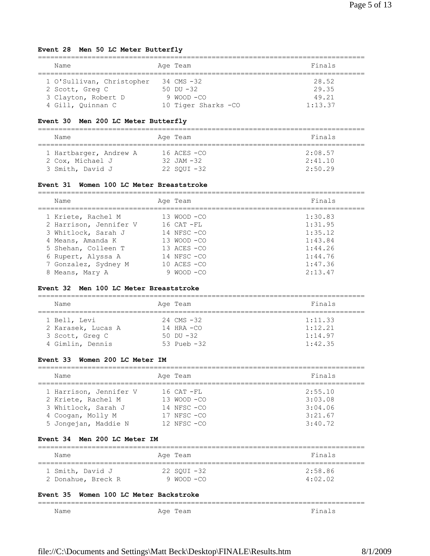## **Event 28 Men 50 LC Meter Butterfly**

| Name                      | Age Team             | Finals  |
|---------------------------|----------------------|---------|
| 1 O'Sullivan, Christopher | 34 CMS -32           | 28.52   |
| 2 Scott, Greg C           | $50$ DU $-32$        | 29.35   |
| 3 Clayton, Robert D       |                      | 49.21   |
| 4 Gill, Quinnan C         | 10 Tiger Sharks - CO | 1:13.37 |

## **Event 30 Men 200 LC Meter Butterfly**

| Name                   | Age Team        | Finals  |
|------------------------|-----------------|---------|
| 1 Hartbarger, Andrew A | $16$ ACES $-CO$ | 2:08.57 |
| 2 Cox, Michael J       | $32$ JAM $-32$  | 2:41.10 |
| 3 Smith, David J       | 22 SOUI -32     | 2:50.29 |

#### **Event 31 Women 100 LC Meter Breaststroke**

| Name                   | Age Team        | Finals  |
|------------------------|-----------------|---------|
| 1 Kriete, Rachel M     | $13 WOOD - CO$  | 1:30.83 |
| 2 Harrison, Jennifer V | $16$ CAT $-FL$  | 1:31.95 |
| 3 Whitlock, Sarah J    | 14 NFSC -CO     | 1:35.12 |
| 4 Means, Amanda K      | $13$ WOOD $-CO$ | 1:43.84 |
| 5 Shehan, Colleen T    | $13$ ACES $-CO$ | 1:44.26 |
| 6 Rupert, Alyssa A     | 14 NFSC -CO     | 1:44.76 |
| 7 Gonzalez, Sydney M   | $10$ ACES $-CO$ | 1:47.36 |
| 8 Means, Mary A        | MOOD -CO        | 2:13.47 |

#### **Event 32 Men 100 LC Meter Breaststroke**

| Name               | Age Team       | Finals  |
|--------------------|----------------|---------|
| 1 Bell, Levi       | $24$ CMS $-32$ | 1:11.33 |
| 2 Karasek, Lucas A | $14$ HRA $-CO$ | 1:12.21 |
| 3 Scott, Greg C    | $50$ DU $-32$  | 1:14.97 |
| 4 Gimlin, Dennis   | 53 Pueb $-32$  | 1:42.35 |

#### **Event 33 Women 200 LC Meter IM**

| Name                   | Age Team        | Finals  |
|------------------------|-----------------|---------|
| 1 Harrison, Jennifer V | $16$ CAT $-FL$  | 2:55.10 |
| 2 Kriete, Rachel M     | $13$ WOOD $-CO$ | 3:03.08 |
| 3 Whitlock, Sarah J    | $14$ NFSC $-CO$ | 3:04.06 |
| 4 Coogan, Molly M      | $17$ NFSC $-CO$ | 3:21.67 |
| 5 Jongejan, Maddie N   | $12$ NFSC $-CO$ | 3:40.72 |

#### **Event 34 Men 200 LC Meter IM**

| Name               | Age Team    | Finals  |
|--------------------|-------------|---------|
| 1 Smith, David J   | 22 SOUI -32 | 2:58.86 |
| 2 Donahue, Breck R | 9 WOOD -CO  | 4:02.02 |

#### **Event 35 Women 100 LC Meter Backstroke**

| ______ | ______________ |
|--------|----------------|
| Name   |                |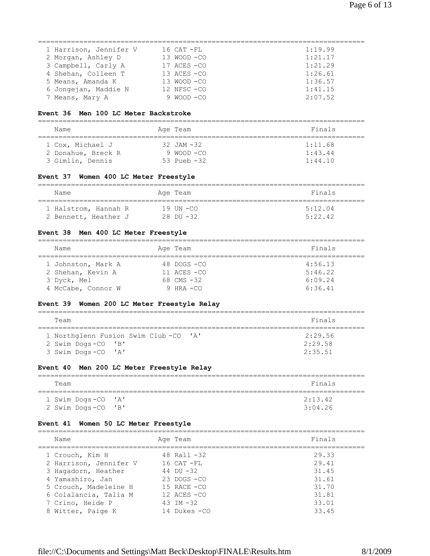| 1 Harrison, Jennifer V | 16 CAT -FL      | 1:19.99 |
|------------------------|-----------------|---------|
| 2 Morgan, Ashley D     | $13$ WOOD $-CO$ | 1:21.17 |
| 3 Campbell, Carly A    | $17$ ACES $-CO$ | 1:21.29 |
| 4 Shehan, Colleen T    | $13$ ACES $-CO$ | 1:26.61 |
| 5 Means, Amanda K      | $13$ WOOD $-CO$ | 1:36.57 |
| 6 Jongejan, Maddie N   | $12$ NFSC $-CO$ | 1:41.15 |
| 7 Means, Mary A        | $9$ WOOD $-CO$  | 2:07.52 |

#### **Event 36 Men 100 LC Meter Backstroke**

| Name               | Age Team       | Finals  |
|--------------------|----------------|---------|
|                    |                |         |
| 1 Cox, Michael J   | $32$ JAM $-32$ | 1:11.68 |
| 2 Donahue, Breck R | 9 WOOD -CO     | 1:43.44 |
| 3 Gimlin, Dennis   | 53 Pueb $-32$  | 1:44.10 |

## **Event 37 Women 400 LC Meter Freestyle**

| Name                 | Age Team       | Finals  |  |  |
|----------------------|----------------|---------|--|--|
| 1 Halstrom, Hannah R | 19 IIN -CO     | 5:12.04 |  |  |
| 2 Bennett, Heather J | $28$ DII $-32$ | 5:22.42 |  |  |

## **Event 38 Men 400 LC Meter Freestyle**

| Name               |  | Age Team        | Finals  |  |
|--------------------|--|-----------------|---------|--|
| 1 Johnston, Mark A |  | $48$ DOGS $-CO$ | 4:56.13 |  |
| 2 Shehan, Kevin A  |  | $11$ ACES $-CO$ | 5:46.22 |  |
| 3 Dyck, Mel        |  | 68 $CMS - 32$   | 6:09.24 |  |
| 4 McCabe, Connor W |  | 9 HRA $-CO$     | 6:36.41 |  |

## **Event 39 Women 200 LC Meter Freestyle Relay**

| Team                                     |                                      |  | Finals                        |  |
|------------------------------------------|--------------------------------------|--|-------------------------------|--|
| 2 Swim Dogs-CO 'B'<br>3 Swim Dogs-CO 'A' | 1 Northglenn Fusion Swim Club-CO 'A' |  | 2:29.56<br>2:29.58<br>2:35.51 |  |

## **Event 40 Men 200 LC Meter Freestyle Relay**

| Team                                     | Finals             |
|------------------------------------------|--------------------|
| 1 Swim Dogs-CO 'A'<br>2 Swim Dogs-CO 'B' | 2:13.42<br>3:04.26 |

## **Event 41 Women 50 LC Meter Freestyle**

| Name                   | Age Team        | Finals |
|------------------------|-----------------|--------|
| 1 Crouch, Kim H        | 48 Rall $-32$   | 29.33  |
| 2 Harrison, Jennifer V | $16$ CAT $-FL$  | 29.41  |
| 3 Hagadorn, Heather    | 44 DU $-32$     | 31.45  |
| 4 Yamashiro, Jan       | $23$ DOGS $-CO$ | 31.61  |
| 5 Crouch, Madeleine H  | $15$ RACE $-CO$ | 31.70  |
| 6 Colalancia, Talia M  | 12 ACES -CO     | 31.81  |
| 7 Crino, Heide P       | 43 IM $-32$     | 33.01  |
| 8 Witter, Paige K      | 14 Dukes -CO    | 33.45  |
|                        |                 |        |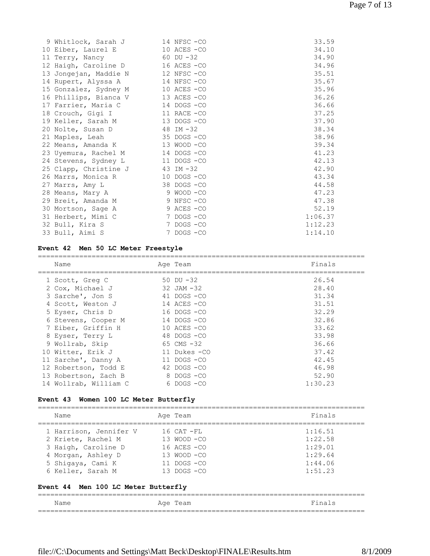| 9 Whitlock, Sarah J   | 14 NFSC -CO     | 33.59   |
|-----------------------|-----------------|---------|
| 10 Eiber, Laurel E    | 10 ACES -CO     | 34.10   |
| 11 Terry, Nancy       | $60$ DU $-32$   | 34.90   |
| 12 Haigh, Caroline D  | 16 ACES -CO     | 34.96   |
| 13 Jongejan, Maddie N | 12 NFSC-CO      | 35.51   |
| 14 Rupert, Alyssa A   | 14 NFSC -CO     | 35.67   |
| 15 Gonzalez, Sydney M | $10$ ACES $-CO$ | 35.96   |
| 16 Phillips, Bianca V | 13 ACES -CO     | 36.26   |
| 17 Farrier, Maria C   | 14 DOGS -CO     | 36.66   |
| 18 Crouch, Gigi I     | 11 RACE -CO     | 37.25   |
| 19 Keller, Sarah M    | 13 DOGS - CO    | 37.90   |
| 20 Nolte, Susan D     | 48 IM -32       | 38.34   |
| 21 Maples, Leah       | 35 DOGS -CO     | 38.96   |
| 22 Means, Amanda K    | $13 WOOD -CO$   | 39.34   |
| 23 Uyemura, Rachel M  | 14 DOGS -CO     | 41.23   |
| 24 Stevens, Sydney L  | 11 DOGS -CO     | 42.13   |
| 25 Clapp, Christine J | 43 IM -32       | 42.90   |
| 26 Marrs, Monica R    | 10 DOGS -CO     | 43.34   |
| 27 Marrs, Amy L       | 38 DOGS - CO    | 44.58   |
| 28 Means, Mary A      | 9 WOOD -CO      | 47.23   |
| 29 Breit, Amanda M    | 9 NFSC -CO      | 47.38   |
| 30 Mortson, Sage A    | 9 ACES -CO      | 52.19   |
| 31 Herbert, Mimi C    | 7 DOGS -CO      | 1:06.37 |
| 32 Bull, Kira S       | 7 DOGS -CO      | 1:12.23 |
| 33 Bull, Aimi S       | 7 DOGS -CO      | 1:14.10 |

## **Event 42 Men 50 LC Meter Freestyle**

| Name                  | Age Team        | Finals  |
|-----------------------|-----------------|---------|
| 1 Scott, Greg C       | 50 DU $-32$     | 26.54   |
| 2 Cox, Michael J      | $32$ JAM $-32$  | 28.40   |
| 3 Sarche', Jon S      | 41 DOGS -CO     | 31.34   |
| 4 Scott, Weston J     | 14 ACES -CO     | 31.51   |
| 5 Eyser, Chris D      | $16$ DOGS $-CO$ | 32.29   |
| 6 Stevens, Cooper M   | $14$ DOGS $-CO$ | 32.86   |
| 7 Eiber, Griffin H    | $10$ ACES $-CO$ | 33.62   |
| 8 Eyser, Terry L      | $48$ DOGS $-CO$ | 33.98   |
| 9 Wollrab, Skip       | 65 CMS $-32$    | 36.66   |
| 10 Witter, Erik J     | 11 Dukes - CO   | 37.42   |
| 11 Sarche', Danny A   | 11 DOGS -CO     | 42.45   |
| 12 Robertson, Todd E  | $42$ DOGS $-CO$ | 46.98   |
| 13 Robertson, Zach B  | 8 DOGS -CO      | 52.90   |
| 14 Wollrab, William C | 6 DOGS -CO      | 1:30.23 |

## **Event 43 Women 100 LC Meter Butterfly**

| Name                                | Age Team        | Finals  |
|-------------------------------------|-----------------|---------|
| 1 Harrison, Jennifer V              | $16$ CAT $-FL$  | 1:16.51 |
| 2 Kriete, Rachel M                  | 13 WOOD -CO     | 1:22.58 |
| 3 Haigh, Caroline D                 | 16 ACES -CO     | 1:29.01 |
| 4 Morgan, Ashley D                  | 13 WOOD -CO     | 1:29.64 |
| 5 Shiqaya, Cami K                   | $11$ DOGS $-CO$ | 1:44.06 |
| 6 Keller, Sarah M                   | $13$ DOGS $-CO$ | 1:51.23 |
| Event 44 Men 100 LC Meter Butterfly |                 |         |
| Name                                | Age Team        | Finals  |

===============================================================================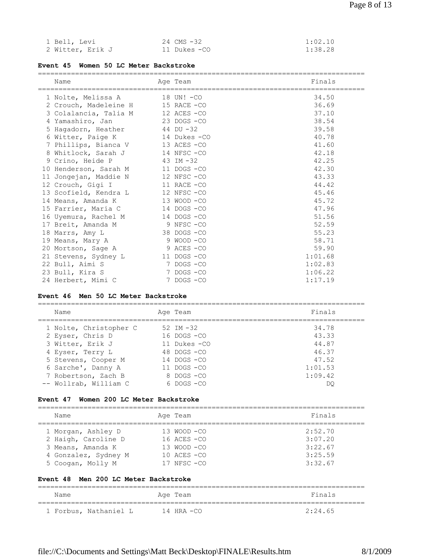| 1 Bell, Levi     | 24 CMS -32   | 1:02.10 |
|------------------|--------------|---------|
| 2 Witter, Erik J | 11 Dukes -CO | 1:38.28 |

## **Event 45 Women 50 LC Meter Backstroke**

| Name                  | Age Team      | Finals  |
|-----------------------|---------------|---------|
| 1 Nolte, Melissa A    | 18 UN! -CO    | 34.50   |
| 2 Crouch, Madeleine H | 15 RACE -CO   | 36.69   |
| 3 Colalancia, Talia M | 12 ACES -CO   | 37.10   |
| 4 Yamashiro, Jan      | 23 DOGS -CO   | 38.54   |
| 5 Hagadorn, Heather   | 44 DU -32     | 39.58   |
| 6 Witter, Paige K     | 14 Dukes - CO | 40.78   |
| 7 Phillips, Bianca V  | 13 ACES -CO   | 41.60   |
| 8 Whitlock, Sarah J   | 14 NFSC -CO   | 42.18   |
| 9 Crino, Heide P      | 43 IM $-32$   | 42.25   |
| 10 Henderson, Sarah M | 11 DOGS -CO   | 42.30   |
| 11 Jongejan, Maddie N | 12 NFSC -CO   | 43.33   |
| 12 Crouch, Gigi I     | 11 RACE -CO   | 44.42   |
| 13 Scofield, Kendra L | 12 NFSC-CO    | 45.46   |
| 14 Means, Amanda K    | 13 WOOD -CO   | 45.72   |
| 15 Farrier, Maria C   | 14 DOGS -CO   | 47.96   |
| 16 Uyemura, Rachel M  | 14 DOGS -CO   | 51.56   |
| 17 Breit, Amanda M    | 9 NFSC -CO    | 52.59   |
| 18 Marrs, Amy L       | 38 DOGS -CO   | 55.23   |
| 19 Means, Mary A      | 9 WOOD -CO    | 58.71   |
| 20 Mortson, Sage A    | 9 ACES -CO    | 59.90   |
| 21 Stevens, Sydney L  | 11 DOGS -CO   | 1:01.68 |
| 22 Bull, Aimi S       | 7 DOGS -CO    | 1:02.83 |
| 23 Bull, Kira S       | 7 DOGS -CO    | 1:06.22 |
| 24 Herbert, Mimi C    | 7 DOGS -CO    | 1:17.19 |

#### **Event 46 Men 50 LC Meter Backstroke**

===============================================================================

| Name                                       | Age Team                       | Finals         |
|--------------------------------------------|--------------------------------|----------------|
| 1 Nolte, Christopher C<br>2 Eyser, Chris D | 52 IM $-32$<br>$16$ DOGS $-CO$ | 34.78<br>43.33 |
| 3 Witter, Erik J                           | 11 Dukes -CO                   | 44.87          |
| 4 Eyser, Terry L                           | $48$ DOGS $-CO$                | 46.37          |
| 5 Stevens, Cooper M                        | $14$ DOGS $-CO$                | 47.52          |
| 6 Sarche', Danny A                         | $11$ DOGS $-CO$                | 1:01.53        |
| 7 Robertson, Zach B                        | 8 DOGS -CO                     | 1:09.42        |
| -- Wollrab, William C                      | 6 DOGS-CO                      | DO             |

## **Event 47 Women 200 LC Meter Backstroke**

| Name                                                                                                                                                | Age Team                                                                            | Finals                                              |
|-----------------------------------------------------------------------------------------------------------------------------------------------------|-------------------------------------------------------------------------------------|-----------------------------------------------------|
| 1 Morgan, Ashley D<br>2 Haigh, Caroline D<br>3 Means, Amanda K<br>4 Gonzalez, Sydney M<br>5 Coogan, Molly M<br>Event 48 Men 200 LC Meter Backstroke | 13 WOOD -CO<br>$16$ ACES $-CO$<br>13 WOOD -CO<br>$10$ ACES $-CO$<br>$17$ NFSC $-CO$ | 2:52:70<br>3:07.20<br>3:22.67<br>3:25.59<br>3:32.67 |
|                                                                                                                                                     |                                                                                     |                                                     |
| Name                                                                                                                                                | Age Team                                                                            | Finals                                              |
| 1 Forbus, Nathaniel L                                                                                                                               | $14$ HRA $-CO$                                                                      | 2:24.65                                             |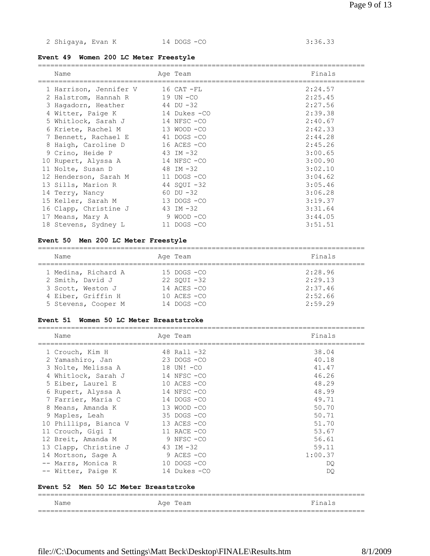2 Shigaya, Evan K 14 DOGS -CO 3:36.33

## **Event 49 Women 200 LC Meter Freestyle**

| Name                   | Age Team      | Finals  |
|------------------------|---------------|---------|
| 1 Harrison, Jennifer V | 16 CAT -FL    | 2:24.57 |
| 2 Halstrom, Hannah R   | 19 UN -CO     | 2:25.45 |
| 3 Hagadorn, Heather    | 44 DU -32     | 2:27.56 |
| 4 Witter, Paige K      | 14 Dukes –CO  | 2:39.38 |
| 5 Whitlock, Sarah J    | 14 NFSC -CO   | 2:40.67 |
| 6 Kriete, Rachel M     | 13 WOOD -CO   | 2:42.33 |
| 7 Bennett, Rachael E   | 41 DOGS -CO   | 2:44.28 |
| 8 Haigh, Caroline D    | 16 ACES -CO   | 2:45.26 |
| 9 Crino, Heide P       | $43$ IM $-32$ | 3:00.65 |
| 10 Rupert, Alyssa A    | 14 NFSC-CO    | 3:00.90 |
| 11 Nolte, Susan D      | 48 IM -32     | 3:02.10 |
| 12 Henderson, Sarah M  | 11 DOGS -CO   | 3:04.62 |
| 13 Sills, Marion R     | 44 SOUI-32    | 3:05.46 |
| 14 Terry, Nancy        | $60$ DU $-32$ | 3:06.28 |
| 15 Keller, Sarah M     | 13 DOGS -CO   | 3:19.37 |
| 16 Clapp, Christine J  | 43 IM -32     | 3:31.64 |
| 17 Means, Mary A       | 9 WOOD -CO    | 3:44.05 |
| 18 Stevens, Sydney L   | 11 DOGS -CO   | 3:51.51 |

## **Event 50 Men 200 LC Meter Freestyle**

| Name                | Age Team        | Finals  |
|---------------------|-----------------|---------|
| 1 Medina, Richard A | $15$ DOGS $-CO$ | 2:28.96 |
| 2 Smith, David J    | $22$ SOUI $-32$ | 2:29.13 |
| 3 Scott, Weston J   | $14$ ACES $-CO$ | 2:37.46 |
| 4 Eiber, Griffin H  | $10$ ACES $-CO$ | 2:52.66 |
| 5 Stevens, Cooper M | $14$ DOGS $-CO$ | 2:59.29 |

#### **Event 51 Women 50 LC Meter Breaststroke**

| Name                                  | Age Team        | Finals  |
|---------------------------------------|-----------------|---------|
| 1 Crouch, Kim H                       | 48 Rall $-32$   | 38.04   |
| 2 Yamashiro, Jan                      | $23$ DOGS $-CO$ | 40.18   |
| 3 Nolte, Melissa A                    | 18 UN! -CO      | 41.47   |
| 4 Whitlock, Sarah J                   | 14 NFSC-CO      | 46.26   |
| 5 Eiber, Laurel E                     | $10$ ACES $-CO$ | 48.29   |
| 6 Rupert, Alyssa A                    | 14 NFSC-CO      | 48.99   |
| 7 Farrier, Maria C                    | 14 DOGS -CO     | 49.71   |
| 8 Means, Amanda K                     | 13 WOOD -CO     | 50.70   |
| 9 Maples, Leah                        | 35 DOGS-CO      | 50.71   |
| 10 Phillips, Bianca V                 | 13 ACES -CO     | 51.70   |
| 11 Crouch, Gigi I                     | 11 RACE -CO     | 53.67   |
| 12 Breit, Amanda M                    | 9 NFSC -CO      | 56.61   |
| 13 Clapp, Christine J                 | 43 IM -32       | 59.11   |
| 14 Mortson, Sage A                    | 9 ACES -CO      | 1:00.37 |
| -- Marrs, Monica R                    | $10$ DOGS $-CO$ | DQ.     |
| -- Witter, Paige K                    | 14 Dukes -CO    | DQ.     |
| Event 52 Men 50 LC Meter Breaststroke |                 |         |
| Name                                  | Age Team        | Finals  |

===============================================================================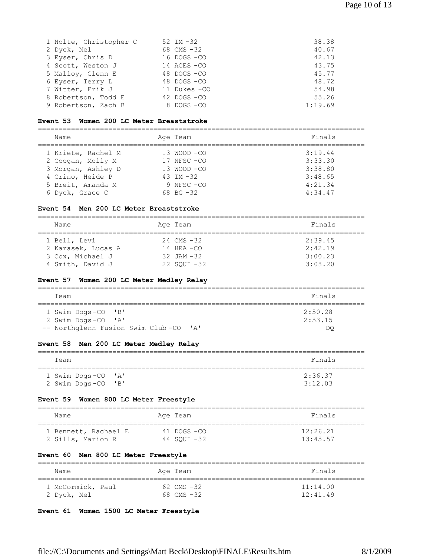| 1 Nolte, Christopher C | 52 IM $-32$     | 38.38   |
|------------------------|-----------------|---------|
| 2 Dyck, Mel            | 68 CMS -32      | 40.67   |
| 3 Eyser, Chris D       | $16$ DOGS $-CO$ | 42.13   |
| 4 Scott, Weston J      | 14 ACES -CO     | 43.75   |
| 5 Malloy, Glenn E      | $48$ DOGS $-CO$ | 45.77   |
| 6 Eyser, Terry L       | 48 DOGS - CO    | 48.72   |
| 7 Witter, Erik J       | 11 Dukes - CO   | 54.98   |
| 8 Robertson, Todd E    | $42$ DOGS $-CO$ | 55.26   |
| 9 Robertson, Zach B    | 8 DOGS -CO      | 1:19.69 |

## **Event 53 Women 200 LC Meter Breaststroke**

| Name               | Age Team        | Finals  |
|--------------------|-----------------|---------|
| 1 Kriete, Rachel M | $13$ WOOD $-CO$ | 3:19.44 |
| 2 Coogan, Molly M  | $17$ NFSC $-CO$ | 3:33.30 |
| 3 Morgan, Ashley D | $13$ WOOD $-CO$ | 3:38.80 |
| 4 Crino, Heide P   | 43 TM $-32$     | 3:48.65 |
| 5 Breit, Amanda M  | $9$ NFSC $-CO$  | 4:21.34 |
| 6 Dyck, Grace C    | 68 BG $-32$     | 4:34.47 |

## **Event 54 Men 200 LC Meter Breaststroke**

| Name                                   | Age Team                         | Finals             |
|----------------------------------------|----------------------------------|--------------------|
| 1 Bell, Levi                           | $24$ CMS $-32$                   | 2:39.45            |
| 2 Karasek, Lucas A<br>3 Cox, Michael J | $14$ HRA $-CO$<br>$32$ JAM $-32$ | 2:42.19<br>3:00.23 |
| 4 Smith, David J                       | $22$ SOUI $-32$                  | 3:08.20            |

## **Event 57 Women 200 LC Meter Medley Relay**

| Team                                  | Finals  |
|---------------------------------------|---------|
| 1 Swim Dogs-CO 'B'                    | 2:50.28 |
| 2 Swim Dogs-CO 'A'                    | 2:53.15 |
| -- Northglenn Fusion Swim Club-CO 'A' | DC      |

## **Event 58 Men 200 LC Meter Medley Relay**

| Team                                     | Finals             |
|------------------------------------------|--------------------|
| 1 Swim Dogs-CO 'A'<br>2 Swim Dogs-CO 'B' | 2:36.37<br>3:12.03 |

## **Event 59 Women 800 LC Meter Freestyle**

| Name                 | Age Team    | Finals   |
|----------------------|-------------|----------|
| 1 Bennett, Rachael E | 41 DOGS —CO | 12:26.21 |
| 2 Sills, Marion R    | 44 SOUI -32 | 13:45.57 |

## **Event 60 Men 800 LC Meter Freestyle**

| Name              | Age Team       | Finals   |
|-------------------|----------------|----------|
| 1 McCormick, Paul | $62$ CMS $-32$ | 11:14.00 |
| 2 Dyck, Mel       | 68 $CMS - 32$  | 12:41.49 |

## **Event 61 Women 1500 LC Meter Freestyle**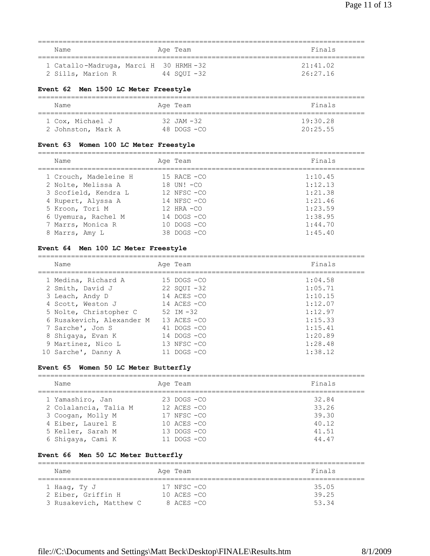| Name              | Age Team                                             | Finals               |
|-------------------|------------------------------------------------------|----------------------|
| 2 Sills, Marion R | 1 Catallo-Madruga, Marci H 30 HRMH-32<br>44 SOUI -32 | 21:41.02<br>26:27.16 |

## **Event 62 Men 1500 LC Meter Freestyle**

| Name               | Age Team        | Finals   |
|--------------------|-----------------|----------|
| 1 Cox, Michael J   | $32$ JAM $-32$  | 19:30.28 |
| 2 Johnston, Mark A | $48$ DOGS $-CQ$ | 20:25.55 |

## **Event 63 Women 100 LC Meter Freestyle**

| Name                  | Age Team        | Finals  |
|-----------------------|-----------------|---------|
| 1 Crouch, Madeleine H | $15$ RACE $-CO$ | 1:10.45 |
| 2 Nolte, Melissa A    | 18 UN! -CO      | 1:12.13 |
| 3 Scofield, Kendra L  | $12$ NFSC $-CO$ | 1:21.38 |
| 4 Rupert, Alyssa A    | $14$ NFSC $-CO$ | 1:21.46 |
| 5 Kroon, Tori M       | $12$ HRA $-CO$  | 1:23.59 |
| 6 Uyemura, Rachel M   | $14$ DOGS $-CO$ | 1:38.95 |
| 7 Marrs, Monica R     | $10$ DOGS $-CO$ | 1:44.70 |
| 8 Marrs, Amy L        | $38$ DOGS $-CO$ | 1:45.40 |

## **Event 64 Men 100 LC Meter Freestyle**

| Name                      | Age Team        | Finals  |
|---------------------------|-----------------|---------|
| 1 Medina, Richard A       | 15 DOGS -CO     | 1:04.58 |
| 2 Smith, David J          | $22$ SOUI $-32$ | 1:05.71 |
| 3 Leach, Andy D           | $14$ ACES $-CO$ | 1:10.15 |
| 4 Scott, Weston J         | $14$ ACES $-CO$ | 1:12.07 |
| 5 Nolte, Christopher C    | 52 IM $-32$     | 1:12.97 |
| 6 Rusakevich, Alexander M | $13$ ACES $-CO$ | 1:15.33 |
| 7 Sarche', Jon S          | $41$ DOGS $-CO$ | 1:15.41 |
| 8 Shiqaya, Evan K         | 14 DOGS -CO     | 1:20.89 |
| 9 Martinez, Nico L        | $13$ NFSC $-CO$ | 1:28.48 |
| 10 Sarche', Danny A       | $DOGS - CO$     | 1:38.12 |

## **Event 65 Women 50 LC Meter Butterfly**

| Name                  | Age Team        | Finals |
|-----------------------|-----------------|--------|
| 1 Yamashiro, Jan      | $23$ DOGS $-CO$ | 32.84  |
| 2 Colalancia, Talia M | $12$ ACES $-CO$ | 33.26  |
| 3 Coogan, Molly M     | $17$ NFSC $-CO$ | 39.30  |
| 4 Eiber, Laurel E     | $10$ ACES $-CO$ | 40.12  |
| 5 Keller, Sarah M     | $13$ DOGS $-CO$ | 41.51  |
| 6 Shiqaya, Cami K     | $11$ DOGS $-CO$ | 44.47  |

## **Event 66 Men 50 LC Meter Butterfly**

| Name                    | Age Team         | Finals |
|-------------------------|------------------|--------|
| 1 Haaq, Ty J            | $17$ NFSC $-CO$  | 35.05  |
| 2 Eiber, Griffin H      | $10$ aces $-$ co | 39.25  |
| 3 Rusakevich, Matthew C | 8 ACES -CO       | 53.34  |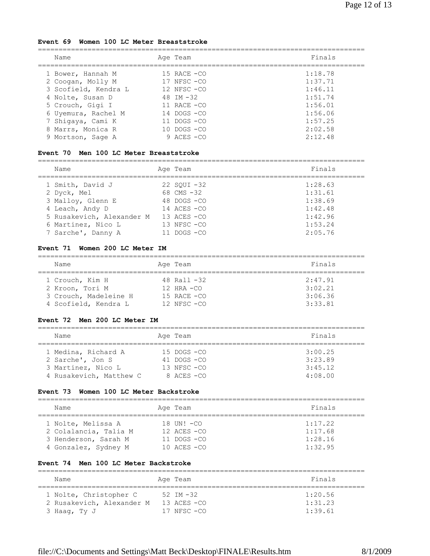#### **Event 69 Women 100 LC Meter Breaststroke**

| Name                 | Age Team        | Finals  |
|----------------------|-----------------|---------|
| 1 Bower, Hannah M    | $15$ RACE $-CO$ | 1:18.78 |
| 2 Coogan, Molly M    | $17$ NFSC $-CO$ | 1:37.71 |
| 3 Scofield, Kendra L | $12$ NFSC $-CO$ | 1:46.11 |
| 4 Nolte, Susan D     | 48 IM $-32$     | 1:51.74 |
| 5 Crouch, Gigi I     | 11 RACE $-CO$   | 1:56.01 |
| 6 Uyemura, Rachel M  | $14$ DOGS $-CO$ | 1:56.06 |
| 7 Shiqaya, Cami K    | 11 DOGS -CO     | 1:57.25 |
| 8 Marrs, Monica R    | $10$ DOGS $-CO$ | 2:02.58 |
| 9 Mortson, Sage A    | $9$ ACES $-CO$  | 2:12.48 |

#### **Event 70 Men 100 LC Meter Breaststroke**

| Name                      | Age Team        | Finals  |
|---------------------------|-----------------|---------|
| 1 Smith, David J          | $22$ SOUI $-32$ | 1:28.63 |
| 2 Dyck, Mel               | 68 CMS $-32$    | 1:31.61 |
| 3 Malloy, Glenn E         | $48$ DOGS $-CO$ | 1:38.69 |
| 4 Leach, Andy D           | $14$ ACES $-CO$ | 1:42.48 |
| 5 Rusakevich, Alexander M | $13$ ACES $-CO$ | 1:42.96 |
| 6 Martinez, Nico L        | $13$ NFSC $-CO$ | 1:53.24 |
| 7 Sarche', Danny A        | 11 DOGS -CO     | 2:05.76 |

#### **Event 71 Women 200 LC Meter IM**

| Name                  | Age Team        | Finals  |
|-----------------------|-----------------|---------|
| 1 Crouch, Kim H       | 48 Rall $-32$   | 2:47.91 |
| 2 Kroon, Tori M       | $12$ HRA $-CO$  | 3:02.21 |
| 3 Crouch, Madeleine H | $15$ RACE $-CO$ | 3:06.36 |
| 4 Scofield, Kendra L  | $12$ NFSC $-CO$ | 3:33.81 |

#### **Event 72 Men 200 LC Meter IM**

| Name                    | Age Team        | Finals  |  |  |
|-------------------------|-----------------|---------|--|--|
| 1 Medina, Richard A     | $15$ DOGS $-CO$ | 3:00.25 |  |  |
| 2 Sarche', Jon S        | $41$ DOGS $-CO$ | 3:23.89 |  |  |
| 3 Martinez, Nico L      | $13$ NFSC $-CO$ | 3:45.12 |  |  |
| 4 Rusakevich, Matthew C | $8$ ACES $-CO$  | 4:08.00 |  |  |

#### **Event 73 Women 100 LC Meter Backstroke**

| Name                  | Age Team        | Finals  |  |  |
|-----------------------|-----------------|---------|--|--|
| 1 Nolte, Melissa A    | 18 $UNI - CO$   | 1:17.22 |  |  |
| 2 Colalancia, Talia M | $12$ ACES $-CO$ | 1:17.68 |  |  |
| 3 Henderson, Sarah M  | $11$ DOGS $-CO$ | 1:28.16 |  |  |
| 4 Gonzalez, Sydney M  | $10$ ACES $-CO$ | 1:32.95 |  |  |

## **Event 74 Men 100 LC Meter Backstroke**

| Name                                      | Age Team                       | Finals             |
|-------------------------------------------|--------------------------------|--------------------|
| 1 Nolte, Christopher C                    | 52 TM $-32$                    | 1:20.56            |
| 2 Rusakevich, Alexander M<br>3 Haaq, Ty J | $13$ ACES $-CO$<br>17 NFSC -CO | 1:31.23<br>1:39.61 |